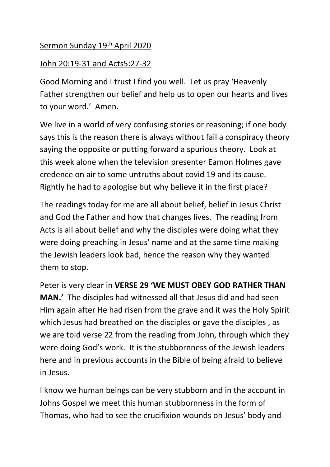## Sermon Sunday 19th April 2020

## John 20:19-31 and Acts5:27-32

Good Morning and I trust I find you well. Let us pray 'Heavenly Father strengthen our belief and help us to open our hearts and lives to your word.' Amen.

We live in a world of very confusing stories or reasoning; if one body says this is the reason there is always without fail a conspiracy theory saying the opposite or putting forward a spurious theory. Look at this week alone when the television presenter Eamon Holmes gave credence on air to some untruths about covid 19 and its cause. Rightly he had to apologise but why believe it in the first place?

The readings today for me are all about belief, belief in Jesus Christ and God the Father and how that changes lives. The reading from Acts is all about belief and why the disciples were doing what they were doing preaching in Jesus' name and at the same time making the Jewish leaders look bad, hence the reason why they wanted them to stop.

Peter is very clear in **VERSE 29 'WE MUST OBEY GOD RATHER THAN MAN.'** The disciples had witnessed all that Jesus did and had seen Him again after He had risen from the grave and it was the Holy Spirit which Jesus had breathed on the disciples or gave the disciples , as we are told verse 22 from the reading from John, through which they were doing God's work. It is the stubbornness of the Jewish leaders here and in previous accounts in the Bible of being afraid to believe in Jesus.

I know we human beings can be very stubborn and in the account in Johns Gospel we meet this human stubbornness in the form of Thomas, who had to see the crucifixion wounds on Jesus' body and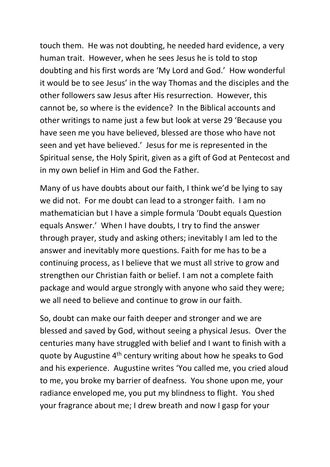touch them. He was not doubting, he needed hard evidence, a very human trait. However, when he sees Jesus he is told to stop doubting and his first words are 'My Lord and God.' How wonderful it would be to see Jesus' in the way Thomas and the disciples and the other followers saw Jesus after His resurrection. However, this cannot be, so where is the evidence? In the Biblical accounts and other writings to name just a few but look at verse 29 'Because you have seen me you have believed, blessed are those who have not seen and yet have believed.' Jesus for me is represented in the Spiritual sense, the Holy Spirit, given as a gift of God at Pentecost and in my own belief in Him and God the Father.

Many of us have doubts about our faith, I think we'd be lying to say we did not. For me doubt can lead to a stronger faith. I am no mathematician but I have a simple formula 'Doubt equals Question equals Answer.' When I have doubts, I try to find the answer through prayer, study and asking others; inevitably I am led to the answer and inevitably more questions. Faith for me has to be a continuing process, as I believe that we must all strive to grow and strengthen our Christian faith or belief. I am not a complete faith package and would argue strongly with anyone who said they were; we all need to believe and continue to grow in our faith.

So, doubt can make our faith deeper and stronger and we are blessed and saved by God, without seeing a physical Jesus. Over the centuries many have struggled with belief and I want to finish with a quote by Augustine 4<sup>th</sup> century writing about how he speaks to God and his experience. Augustine writes 'You called me, you cried aloud to me, you broke my barrier of deafness. You shone upon me, your radiance enveloped me, you put my blindness to flight. You shed your fragrance about me; I drew breath and now I gasp for your